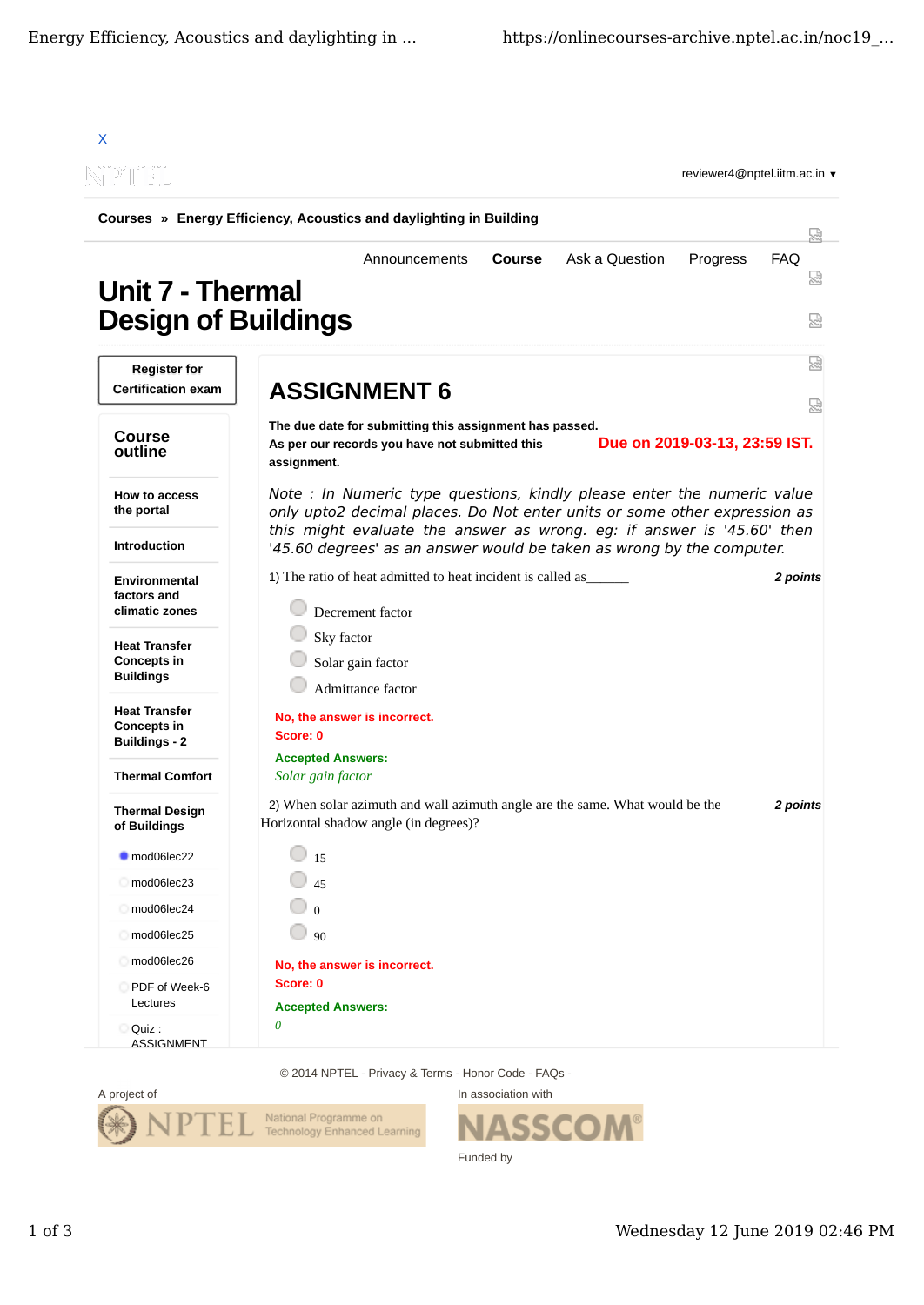| Courses » Energy Efficiency, Acoustics and daylighting in Building |                                                                                                                                                           |                 |
|--------------------------------------------------------------------|-----------------------------------------------------------------------------------------------------------------------------------------------------------|-----------------|
|                                                                    |                                                                                                                                                           | W               |
| <b>Unit 7 - Thermal</b><br><b>Design of Buildings</b>              | Ask a Question<br><b>Course</b><br>Progress<br>Announcements                                                                                              | <b>FAQ</b><br>쩒 |
| <b>Register for</b><br><b>Certification exam</b>                   | <b>ASSIGNMENT 6</b>                                                                                                                                       | ₩               |
| <b>Course</b><br>outline                                           | The due date for submitting this assignment has passed.<br>Due on 2019-03-13, 23:59 IST.<br>As per our records you have not submitted this<br>assignment. | 냈               |
| How to access<br>the portal                                        | Note : In Numeric type questions, kindly please enter the numeric value<br>only upto2 decimal places. Do Not enter units or some other expression as      |                 |
| <b>Introduction</b>                                                | this might evaluate the answer as wrong. eg: if answer is '45.60' then<br>'45.60 degrees' as an answer would be taken as wrong by the computer.           |                 |
| <b>Environmental</b><br>factors and<br>climatic zones              | 1) The ratio of heat admitted to heat incident is called as<br>Decrement factor                                                                           | 2 points        |
| <b>Heat Transfer</b><br><b>Concepts in</b><br><b>Buildings</b>     | Sky factor<br>Solar gain factor<br>Admittance factor                                                                                                      |                 |
| <b>Heat Transfer</b><br><b>Concepts in</b><br><b>Buildings - 2</b> | No, the answer is incorrect.<br>Score: 0                                                                                                                  |                 |
| <b>Thermal Comfort</b>                                             | <b>Accepted Answers:</b><br>Solar gain factor                                                                                                             |                 |
| <b>Thermal Design</b><br>of Buildings                              | 2) When solar azimuth and wall azimuth angle are the same. What would be the<br>Horizontal shadow angle (in degrees)?                                     | 2 points        |
| $mod06$ lec22                                                      | 15                                                                                                                                                        |                 |
| mod06lec23                                                         | 45                                                                                                                                                        |                 |
| $mod06$ lec24                                                      | $\Omega$                                                                                                                                                  |                 |
| mod06lec25                                                         | 90                                                                                                                                                        |                 |
| mod06lec26<br>PDF of Week-6<br>Lectures                            | No, the answer is incorrect.<br>Score: 0<br><b>Accepted Answers:</b>                                                                                      |                 |
| Quiz :<br><b>ASSIGNMENT</b>                                        | 0                                                                                                                                                         |                 |

© 2014 NPTEL - Privacy & Terms - Honor Code - FAQs -



In association with **SSCOM®** Funded by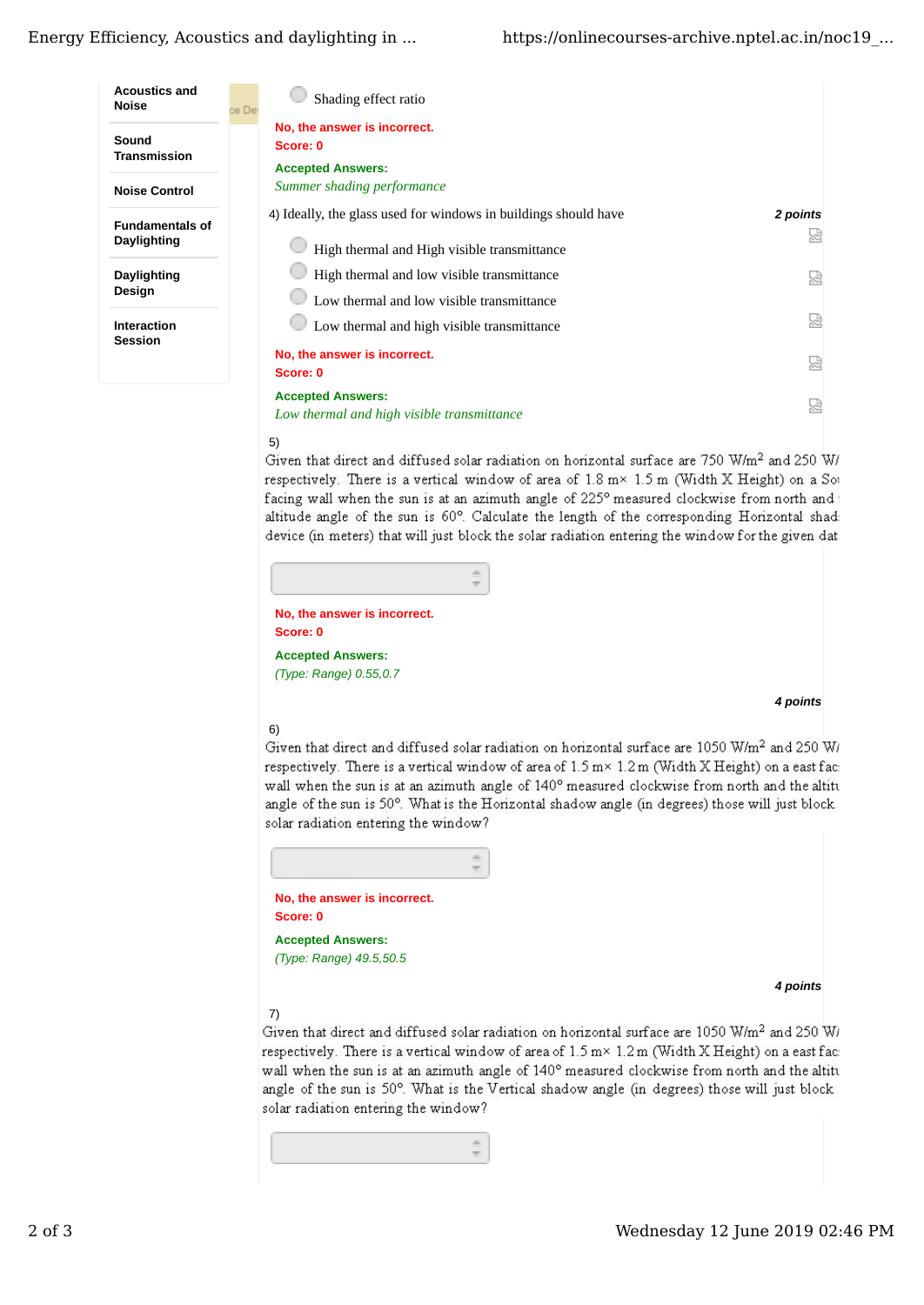

# 5)

Given that direct and diffused solar radiation on horizontal surface are 750 W/m<sup>2</sup> and 250 W/ respectively. There is a vertical window of area of 1.8 m× 1.5 m (Width X Height) on a Sot facing wall when the sun is at an azimuth angle of 225° measured clockwise from north and t altitude angle of the sun is 60°. Calculate the length of the corresponding Horizontal shadi device (in meters) that will just block the solar radiation entering the window for the given dat:

**No, the answer is incorrect. Score: 0 Accepted Answers:** *(Type: Range) 0.55,0.7*

## *4 points*

# 6)

Given that direct and diffused solar radiation on horizontal surface are 1050 W/m<sup>2</sup> and 250 W/ respectively. There is a vertical window of area of 1.5 m × 1.2 m (Width X Height) on a east faci wall when the sun is at an azimuth angle of 140° measured clockwise from north and the altitu angle of the sun is 50°. What is the Horizontal shadow angle (in degrees) those will just block solar radiation entering the window?



*4 points*

# 7)

Given that direct and diffused solar radiation on horizontal surface are 1050 W/m<sup>2</sup> and 250 W/ respectively. There is a vertical window of area of 1.5 m× 1.2 m (Width X Height) on a east faci wall when the sun is at an azimuth angle of 140° measured clockwise from north and the altitu angle of the sun is 50°. What is the Vertical shadow angle (in degrees) those will just block solar radiation entering the window?